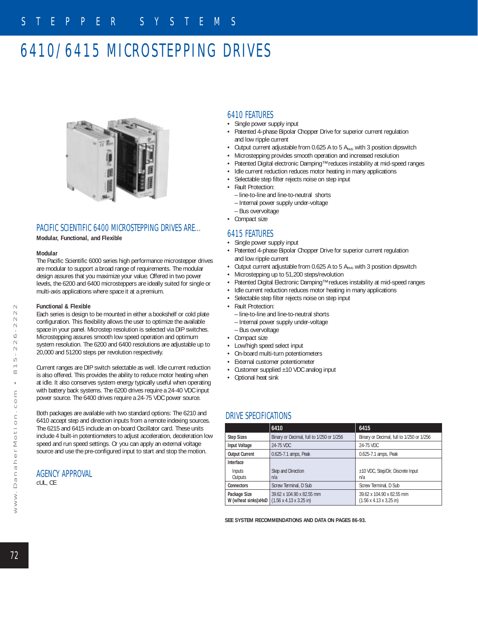# 6410/6415 MICROSTEPPING DRIVES



## PACIFIC SCIENTIFIC 6400 MICROSTEPPING DRIVES ARE…

**Modular, Functional, and Flexible** 

#### **Modular**

The Pacific Scientific 6000 series high performance microstepper drives are modular to support a broad range of requirements. The modular design assures that you maximize your value. Offered in two power levels, the 6200 and 6400 microsteppers are ideally suited for single or multi-axis applications where space it at a premium.

### **Functional & Flexible**

Each series is design to be mounted in either a bookshelf or cold plate configuration. This flexibility allows the user to optimize the available space in your panel. Microstep resolution is selected via DIP switches. Microstepping assures smooth low speed operation and optimum system resolution. The 6200 and 6400 resolutions are adjustable up to 20,000 and 51200 steps per revolution respectively.

Current ranges are DIP switch selectable as well. Idle current reduction is also offered. This provides the ability to reduce motor heating when at idle. It also conserves system energy typically useful when operating with battery back systems. The 6200 drives require a 24-40 VDC input power source. The 6400 drives require a 24-75 VDC power source.

Both packages are available with two standard options: The 6210 and 6410 accept step and direction inputs from a remote indexing sources. The 6215 and 6415 include an on-board Oscillator card. These units include 4 built-in potentiometers to adjust acceleration, deceleration low speed and run speed settings. Or you can apply an external voltage source and use the pre-configured input to start and stop the motion.

### AGENCY APPROVAL

cUL, CE

## 6410 FEATURES

- Single power supply input
- Patented 4-phase Bipolar Chopper Drive for superior current regulation and low ripple current
- Output current adjustable from 0.625 A to 5 ARMS with 3 position dipswitch
- Microstepping provides smooth operation and increased resolution
- Patented Digital electronic Damping™ reduces instability at mid-speed ranges
- Idle current reduction reduces motor heating in many applications
- Selectable step filter rejects noise on step input
- Fault Protection:
	- line-to-line and line-to-neutral shorts
	- Internal power supply under-voltage
- Bus overvoltage
- Compact size

## 6415 FEATURES

- Single power supply input
- Patented 4-phase Bipolar Chopper Drive for superior current regulation and low ripple current
- Output current adjustable from 0.625 A to 5 ARMS with 3 position dipswitch
- Microstepping up to 51,200 steps/revolution
- Patented Digital Electronic Damping™ reduces instability at mid-speed ranges
- Idle current reduction reduces motor heating in many applications
- Selectable step filter rejects noise on step input
- Fault Protection:
	- line-to-line and line-to-neutral shorts
	- Internal power supply under-voltage
	- Bus overvoltage
- Compact size
- Low/high speed select input
- On-board multi-turn potentiometers
- External customer potentiometer
- Customer supplied ±10 VDC analog input
- Optional heat sink

## DRIVE SPECIFICATIONS

|                                      | 6410                                                                     | 6415                                                              |
|--------------------------------------|--------------------------------------------------------------------------|-------------------------------------------------------------------|
| <b>Step Sizes</b>                    | Binary or Decimal, full to 1/250 or 1/256                                | Binary or Decimal, full to 1/250 or 1/256                         |
| <b>Input Voltage</b>                 | 24-75 VDC                                                                | 24-75 VDC                                                         |
| <b>Output Current</b>                | 0.625-7.1 amps, Peak                                                     | 0.625-7.1 amps, Peak                                              |
| Interface                            |                                                                          |                                                                   |
| Inputs<br>Outputs                    | Step and Direction<br>n/a                                                | ±10 VDC, Step/Dir, Discrete Input<br>n/a                          |
| <b>Connectors</b>                    | Screw Terminal, D Sub                                                    | Screw Terminal, D Sub                                             |
| Package Size<br>W (w/heat sinks)xHxD | 39.62 x 104.90 x 82.55 mm<br>$(1.56 \times 4.13 \times 3.25 \text{ in})$ | 39.62 x 104.90 x 82.55 mm<br>$(1.56 \times 4.13 \times 3.25)$ in) |

**SEE SYSTEM RECOMMENDATIONS AND DATA ON PAGES 86-93.**

 $\sim$  $\sim$  $\sim$  $\circ$  $\sim$ 

صا  $\infty$ 

72